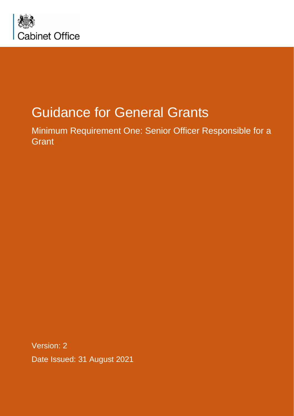

# Guidance for General Grants

Minimum Requirement One: Senior Officer Responsible for a **Grant** 

Version: 2 Date Issued: 31 August 2021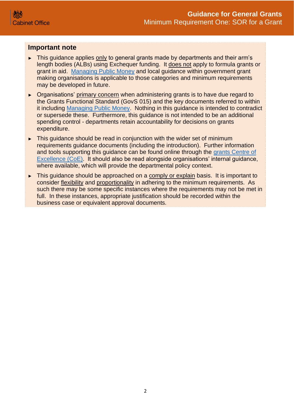#### **Important note**

- ► This guidance applies only to general grants made by departments and their arm's length bodies (ALBs) using Exchequer funding. It does not apply to formula grants or grant in aid. [Managing Public Money](https://www.gov.uk/government/publications/managing-public-money) and local guidance within government grant making organisations is applicable to those categories and minimum requirements may be developed in future.
- ► Organisations' primary concern when administering grants is to have due regard to the Grants Functional Standard (GovS 015) and the key documents referred to within it including [Managing Public Money.](https://www.gov.uk/government/publications/managing-public-money) Nothing in this guidance is intended to contradict or supersede these. Furthermore, this guidance is not intended to be an additional spending control - departments retain accountability for decisions on grants expenditure.
- ► This guidance should be read in conjunction with the wider set of minimum requirements guidance documents (including the introduction). Further information and tools supporting this guidance can be found online through the [grants Centre of](https://gcoe.civilservice.gov.uk/)  [Excellence \(CoE\).](https://gcoe.civilservice.gov.uk/) It should also be read alongside organisations' internal guidance, where available, which will provide the departmental policy context.
- ► This guidance should be approached on a comply or explain basis. It is important to consider flexibility and proportionality in adhering to the minimum requirements. As such there may be some specific instances where the requirements may not be met in full. In these instances, appropriate justification should be recorded within the business case or equivalent approval documents.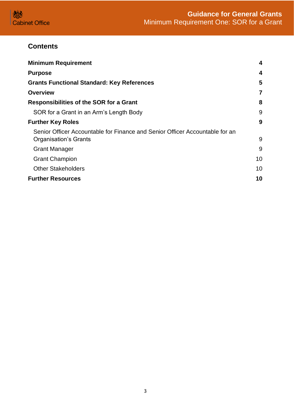

# **Contents**

| <b>Minimum Requirement</b>                                                                                   | 4  |
|--------------------------------------------------------------------------------------------------------------|----|
| <b>Purpose</b>                                                                                               | 4  |
| <b>Grants Functional Standard: Key References</b>                                                            | 5  |
| <b>Overview</b>                                                                                              | 7  |
| <b>Responsibilities of the SOR for a Grant</b>                                                               | 8  |
| SOR for a Grant in an Arm's Length Body                                                                      | 9  |
| <b>Further Key Roles</b>                                                                                     | 9  |
| Senior Officer Accountable for Finance and Senior Officer Accountable for an<br><b>Organisation's Grants</b> | 9  |
| <b>Grant Manager</b>                                                                                         | 9  |
| <b>Grant Champion</b>                                                                                        | 10 |
| <b>Other Stakeholders</b>                                                                                    | 10 |
| <b>Further Resources</b>                                                                                     | 10 |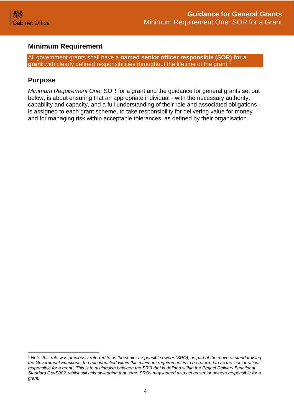

## <span id="page-3-0"></span>**Minimum Requirement**

All government grants shall have a **named senior officer responsible (SOR) for a grant** with clearly defined responsibilities throughout the lifetime of the grant.**<sup>1</sup>**

## <span id="page-3-1"></span>**Purpose**

*Minimum Requirement One:* SOR for a grant and the guidance for general grants set out below, is about ensuring that an appropriate individual - with the necessary authority, capability and capacity, and a full understanding of their role and associated obligations is assigned to each grant scheme, to take responsibility for delivering value for money and for managing risk within acceptable tolerances, as defined by their organisation.

<sup>1</sup> *Note: this role was previously referred to as the senior responsible owner (SRO); as part of the move of standardising the Government Functions, the role identified within this minimum requirement is to be referred to as the 'senior officer responsible for a grant'. This is to distinguish between the SRO that is defined within the Project Delivery Functional Standard GovS002, whilst still acknowledging that some SROs may indeed also act as senior owners responsible for a grant.*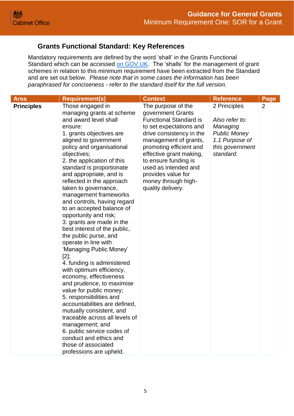# <span id="page-4-0"></span> **Grants Functional Standard: Key References**

Mandatory requirements are defined by the word 'shall' in the Grants Functional Standard which can be accessed [on GOV.UK.](https://www.gov.uk/government/publications/grants-standards) The 'shalls' for the management of grant schemes in relation to this minimum requirement have been extracted from the Standard and are set out below. *Please note that in some cases the information has been paraphrased for conciseness - refer to the standard itself for the full version.*

| <b>Area</b>       | <b>Requirement(s)</b>                                                                                                                                                                                                                                                                                                                                                                                                                                                                                                                                                                                                                                                                                                                                                                                                                                                                                                                                                                              | <b>Context</b>                                                                                                                                                                                                                                                                                                                   | <b>Reference</b>                                                                                                    | Page |
|-------------------|----------------------------------------------------------------------------------------------------------------------------------------------------------------------------------------------------------------------------------------------------------------------------------------------------------------------------------------------------------------------------------------------------------------------------------------------------------------------------------------------------------------------------------------------------------------------------------------------------------------------------------------------------------------------------------------------------------------------------------------------------------------------------------------------------------------------------------------------------------------------------------------------------------------------------------------------------------------------------------------------------|----------------------------------------------------------------------------------------------------------------------------------------------------------------------------------------------------------------------------------------------------------------------------------------------------------------------------------|---------------------------------------------------------------------------------------------------------------------|------|
| <b>Principles</b> | Those engaged in<br>managing grants at scheme<br>and award level shall<br>ensure:<br>1. grants objectives are<br>aligned to government<br>policy and organisational<br>objectives;<br>2. the application of this<br>standard is proportionate<br>and appropriate, and is<br>reflected in the approach<br>taken to governance,<br>management frameworks<br>and controls, having regard<br>to an accepted balance of<br>opportunity and risk;<br>3. grants are made in the<br>best interest of the public,<br>the public purse, and<br>operate in line with<br>'Managing Public Money'<br>$[2]$ ;<br>4. funding is administered<br>with optimum efficiency,<br>economy, effectiveness<br>and prudence, to maximise<br>value for public money;<br>5. responsibilities and<br>accountabilities are defined,<br>mutually consistent, and<br>traceable across all levels of<br>management; and<br>6. public service codes of<br>conduct and ethics and<br>those of associated<br>professions are upheld. | The purpose of the<br>government Grants<br><b>Functional Standard is</b><br>to set expectations and<br>drive consistency in the<br>management of grants,<br>promoting efficient and<br>effective grant making,<br>to ensure funding is<br>used as intended and<br>provides value for<br>money through high-<br>quality delivery. | 2 Principles<br>Also refer to:<br>Managing<br><b>Public Money</b><br>1.1 Purpose of<br>this government<br>standard. | 2    |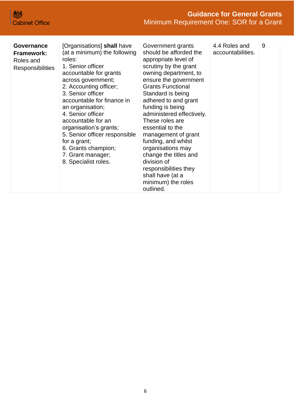| Governance<br><b>Framework:</b><br>Roles and<br><b>Responsibilities</b> | [Organisations] shall have<br>(at a minimum) the following<br>roles:<br>1. Senior officer<br>accountable for grants<br>across government;<br>2. Accounting officer;<br>3. Senior officer<br>accountable for finance in<br>an organisation;<br>4. Senior officer<br>accountable for an<br>organisation's grants;<br>5. Senior officer responsible<br>for a grant;<br>6. Grants champion;<br>7. Grant manager;<br>8. Specialist roles. | Government grants<br>should be afforded the<br>appropriate level of<br>scrutiny by the grant<br>owning department, to<br>ensure the government<br><b>Grants Functional</b><br>Standard is being<br>adhered to and grant<br>funding is being<br>administered effectively.<br>These roles are<br>essential to the<br>management of grant<br>funding, and whilst<br>organisations may<br>change the titles and<br>division of<br>responsibilities they<br>shall have (at a<br>minimum) the roles<br>outlined. | 4.4 Roles and<br>accountabilities. | 9 |
|-------------------------------------------------------------------------|--------------------------------------------------------------------------------------------------------------------------------------------------------------------------------------------------------------------------------------------------------------------------------------------------------------------------------------------------------------------------------------------------------------------------------------|------------------------------------------------------------------------------------------------------------------------------------------------------------------------------------------------------------------------------------------------------------------------------------------------------------------------------------------------------------------------------------------------------------------------------------------------------------------------------------------------------------|------------------------------------|---|
|-------------------------------------------------------------------------|--------------------------------------------------------------------------------------------------------------------------------------------------------------------------------------------------------------------------------------------------------------------------------------------------------------------------------------------------------------------------------------------------------------------------------------|------------------------------------------------------------------------------------------------------------------------------------------------------------------------------------------------------------------------------------------------------------------------------------------------------------------------------------------------------------------------------------------------------------------------------------------------------------------------------------------------------------|------------------------------------|---|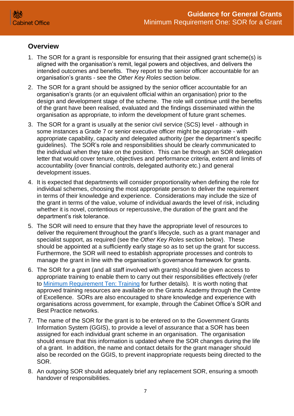## <span id="page-6-0"></span>**Overview**

- 1. The SOR for a grant is responsible for ensuring that their assigned grant scheme(s) is aligned with the organisation's remit, legal powers and objectives, and delivers the intended outcomes and benefits. They report to the senior officer accountable for an organisation's grants - see the *Other Key Roles* section below.
- 2. The SOR for a grant should be assigned by the senior officer accountable for an organisation's grants (or an equivalent official within an organisation) prior to the design and development stage of the scheme. The role will continue until the benefits of the grant have been realised, evaluated and the findings disseminated within the organisation as appropriate, to inform the development of future grant schemes.
- 3. The SOR for a grant is usually at the senior civil service (SCS) level although in some instances a Grade 7 or senior executive officer might be appropriate - with appropriate capability, capacity and delegated authority (per the department's specific guidelines). The SOR's role and responsibilities should be clearly communicated to the individual when they take on the position. This can be through an SOR delegation letter that would cover tenure, objectives and performance criteria, extent and limits of accountability (over financial controls, delegated authority etc.) and general development issues.
- 4. It is expected that departments will consider proportionality when defining the role for individual schemes, choosing the most appropriate person to deliver the requirement in terms of their knowledge and experience. Considerations may include the size of the grant in terms of the value, volume of individual awards the level of risk, including whether it is novel, contentious or repercussive, the duration of the grant and the department's risk tolerance.
- 5. The SOR will need to ensure that they have the appropriate level of resources to deliver the requirement throughout the grant's lifecycle, such as a grant manager and specialist support, as required (see the *Other Key Roles* section below). These should be appointed at a sufficiently early stage so as to set up the grant for success. Furthermore, the SOR will need to establish appropriate processes and controls to manage the grant in line with the organisation's governance framework for grants.
- 6. The SOR for a grant (and all staff involved with grants) should be given access to appropriate training to enable them to carry out their responsibilities effectively (refer to [Minimum Requirement Ten: Training](https://assets.publishing.service.gov.uk/government/uploads/system/uploads/attachment_data/file/722204/Grants-Standard-TEN-Training.pdf) for further details). It is worth noting that approved training resources are available on the Grants Academy through the Centre of Excellence. SORs are also encouraged to share knowledge and experience with organisations across government, for example, through the Cabinet Office's SOR and Best Practice networks.
- 7. The name of the SOR for the grant is to be entered on to the Government Grants Information System (GGIS), to provide a level of assurance that a SOR has been assigned for each individual grant scheme in an organisation. The organisation should ensure that this information is updated where the SOR changes during the life of a grant. In addition, the name and contact details for the grant manager should also be recorded on the GGIS, to prevent inappropriate requests being directed to the SOR.
- 8. An outgoing SOR should adequately brief any replacement SOR, ensuring a smooth handover of responsibilities.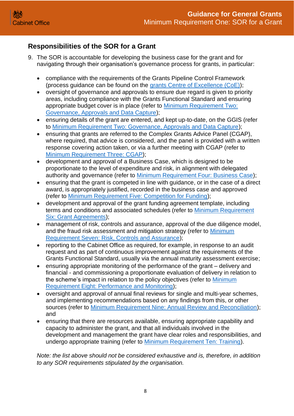# <span id="page-7-0"></span>**Responsibilities of the SOR for a Grant**

- 9. The SOR is accountable for developing the business case for the grant and for navigating through their organisation's governance process for grants, in particular:
	- compliance with the requirements of the Grants Pipeline Control Framework (process guidance can be found on the [grants Centre of Excellence \(CoE\)\)](https://gcoe.civilservice.gov.uk/);
	- oversight of governance and approvals to ensure due regard is given to priority areas, including compliance with the Grants Functional Standard and ensuring appropriate budget cover is in place (refer to [Minimum Requirement Two:](https://assets.publishing.service.gov.uk/government/uploads/system/uploads/attachment_data/file/722195/Grants-Standard-TWO-Approvals-and-Data-Capture.pdf)  [Governance, Approvals and Data Capture\)](https://assets.publishing.service.gov.uk/government/uploads/system/uploads/attachment_data/file/722195/Grants-Standard-TWO-Approvals-and-Data-Capture.pdf);
	- ensuring details of the grant are entered, and kept up-to-date, on the GGIS (refer to [Minimum Requirement Two: Governance, Approvals and Data Capture\)](https://assets.publishing.service.gov.uk/government/uploads/system/uploads/attachment_data/file/722195/Grants-Standard-TWO-Approvals-and-Data-Capture.pdf);
	- ensuring that grants are referred to the Complex Grants Advice Panel (CGAP), where required, that advice is considered, and the panel is provided with a written response covering action taken, or via a further meeting with CGAP (refer to [Minimum Requirement Three:](https://assets.publishing.service.gov.uk/government/uploads/system/uploads/attachment_data/file/896338/Grants-Standard-THREE-NGAP.pdf) CGAP);
	- development and approval of a Business Case, which is designed to be proportionate to the level of expenditure and risk, in alignment with delegated authority and governance (refer to [Minimum Requirement Four: Business Case\)](https://assets.publishing.service.gov.uk/government/uploads/system/uploads/attachment_data/file/896339/Grants-Standard-FOUR-Business-Case.pdf);
	- ensuring that the grant is competed in line with guidance, or in the case of a direct award, is appropriately justified, recorded in the business case and approved (refer to [Minimum Requirement Five: Competition for Funding\)](https://assets.publishing.service.gov.uk/government/uploads/system/uploads/attachment_data/file/722199/Grants-Standard-FIVE-Competition.pdf);
	- development and approval of the grant funding agreement template, including terms and conditions and associated schedules (refer to [Minimum Requirement](https://assets.publishing.service.gov.uk/government/uploads/system/uploads/attachment_data/file/722200/Grants-Standard-SIX-Grant-Agreements.pdf)  [Six: Grant Agreements\)](https://assets.publishing.service.gov.uk/government/uploads/system/uploads/attachment_data/file/722200/Grants-Standard-SIX-Grant-Agreements.pdf);
	- management of risk, controls and assurance, approval of the due diligence model, and the fraud risk assessment and mitigation strategy (refer to [Minimum](https://assets.publishing.service.gov.uk/government/uploads/system/uploads/attachment_data/file/722201/Grants-Standard-SEVEN-Due-Diligence-and-Fraud-Risk.pdf)  [Requirement Seven: Risk, Controls and Assurance\)](https://assets.publishing.service.gov.uk/government/uploads/system/uploads/attachment_data/file/722201/Grants-Standard-SEVEN-Due-Diligence-and-Fraud-Risk.pdf);
	- reporting to the Cabinet Office as required, for example, in response to an audit request and as part of continuous improvement against the requirements of the Grants Functional Standard, usually via the annual maturity assessment exercise;
	- ensuring appropriate monitoring of the performance of the grant delivery and financial - and commissioning a proportionate evaluation of delivery in relation to the scheme's impact in relation to the policy objectives (refer to [Minimum](https://assets.publishing.service.gov.uk/government/uploads/system/uploads/attachment_data/file/722202/Grants-Standard-EIGHT-Performance-and-Monitoring.pdf)  [Requirement Eight: Performance and Monitoring\)](https://assets.publishing.service.gov.uk/government/uploads/system/uploads/attachment_data/file/722202/Grants-Standard-EIGHT-Performance-and-Monitoring.pdf);
	- oversight and approval of annual final reviews for single and multi-year schemes, and implementing recommendations based on any findings from this, or other sources (refer to [Minimum Requirement Nine: Annual Review and Reconciliation\)](https://assets.publishing.service.gov.uk/government/uploads/system/uploads/attachment_data/file/722203/Grants-Standard-NINE-Review-and-Reconciliation.pdf); and
	- ensuring that there are resources available, ensuring appropriate capability and capacity to administer the grant, and that all individuals involved in the development and management the grant have clear roles and responsibilities, and undergo appropriate training (refer to [Minimum Requirement Ten: Training\)](https://assets.publishing.service.gov.uk/government/uploads/system/uploads/attachment_data/file/722204/Grants-Standard-TEN-Training.pdf).

*Note: the list above should not be considered exhaustive and is, therefore, in addition to any SOR requirements stipulated by the organisation.*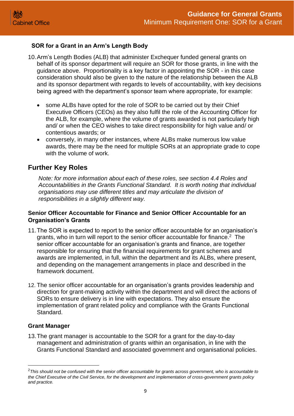#### <span id="page-8-0"></span>**SOR for a Grant in an Arm's Length Body**

- 10.Arm's Length Bodies (ALB) that administer Exchequer funded general grants on behalf of its sponsor department will require an SOR for those grants, in line with the guidance above. Proportionality is a key factor in appointing the SOR - in this case consideration should also be given to the nature of the relationship between the ALB and its sponsor department with regards to levels of accountability, with key decisions being agreed with the department's sponsor team where appropriate, for example:
	- some ALBs have opted for the role of SOR to be carried out by their Chief Executive Officers (CEOs) as they also fulfil the role of the Accounting Officer for the ALB, for example, where the volume of grants awarded is not particularly high and/ or when the CEO wishes to take direct responsibility for high value and/ or contentious awards; or
	- conversely, in many other instances, where ALBs make numerous low value awards, there may be the need for multiple SORs at an appropriate grade to cope with the volume of work.

# <span id="page-8-1"></span>**Further Key Roles**

*Note: for more information about each of these roles, see section 4.4 Roles and Accountabilities in the Grants Functional Standard. It is worth noting that individual organisations may use different titles and may articulate the division of responsibilities in a slightly different way.*

#### <span id="page-8-2"></span>**Senior Officer Accountable for Finance and Senior Officer Accountable for an Organisation's Grants**

- 11.The SOR is expected to report to the senior officer accountable for an organisation's grants, who in turn will report to the senior officer accountable for finance.<sup>2</sup> The senior officer accountable for an organisation's grants and finance, are together responsible for ensuring that the financial requirements for grant schemes and awards are implemented, in full, within the department and its ALBs, where present, and depending on the management arrangements in place and described in the framework document.
- 12. The senior officer accountable for an organisation's grants provides leadership and direction for grant-making activity within the department and will direct the actions of SORs to ensure delivery is in line with expectations. They also ensure the implementation of grant related policy and compliance with the Grants Functional Standard.

#### <span id="page-8-3"></span>**Grant Manager**

13.The grant manager is accountable to the SOR for a grant for the day-to-day management and administration of grants within an organisation, in line with the Grants Functional Standard and associated government and organisational policies.

<sup>2</sup>*This should not be confused with the senior officer accountable for grants across government, who is accountable to the Chief Executive of the Civil Service, for the development and implementation of cross-government grants policy and practice.*